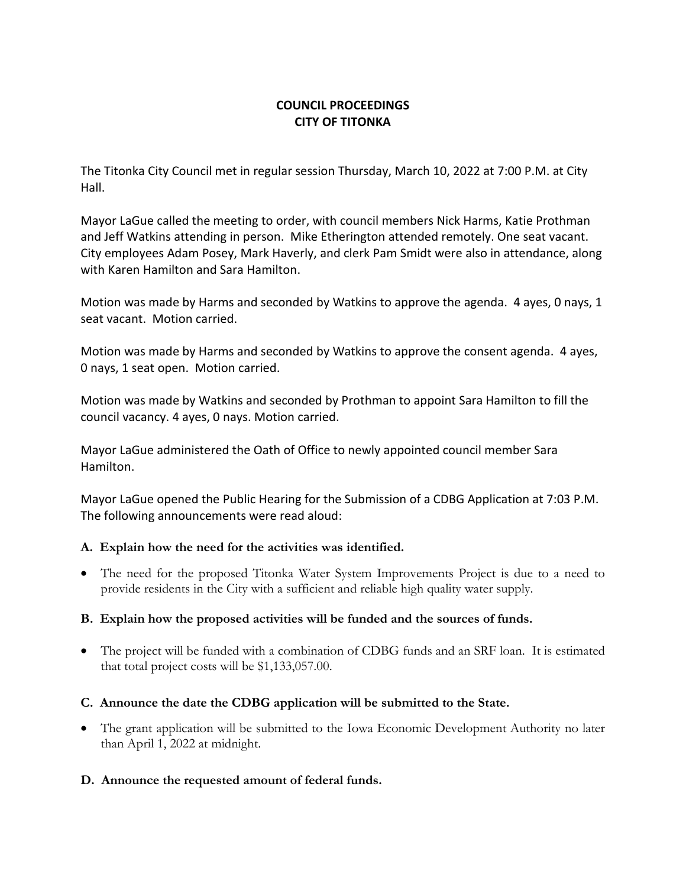# **COUNCIL PROCEEDINGS CITY OF TITONKA**

The Titonka City Council met in regular session Thursday, March 10, 2022 at 7:00 P.M. at City Hall.

Mayor LaGue called the meeting to order, with council members Nick Harms, Katie Prothman and Jeff Watkins attending in person. Mike Etherington attended remotely. One seat vacant. City employees Adam Posey, Mark Haverly, and clerk Pam Smidt were also in attendance, along with Karen Hamilton and Sara Hamilton.

Motion was made by Harms and seconded by Watkins to approve the agenda. 4 ayes, 0 nays, 1 seat vacant. Motion carried.

Motion was made by Harms and seconded by Watkins to approve the consent agenda. 4 ayes, 0 nays, 1 seat open. Motion carried.

Motion was made by Watkins and seconded by Prothman to appoint Sara Hamilton to fill the council vacancy. 4 ayes, 0 nays. Motion carried.

Mayor LaGue administered the Oath of Office to newly appointed council member Sara Hamilton.

Mayor LaGue opened the Public Hearing for the Submission of a CDBG Application at 7:03 P.M. The following announcements were read aloud:

# **A. Explain how the need for the activities was identified.**

• The need for the proposed Titonka Water System Improvements Project is due to a need to provide residents in the City with a sufficient and reliable high quality water supply.

# **B. Explain how the proposed activities will be funded and the sources of funds.**

• The project will be funded with a combination of CDBG funds and an SRF loan. It is estimated that total project costs will be \$1,133,057.00.

# **C. Announce the date the CDBG application will be submitted to the State.**

• The grant application will be submitted to the Iowa Economic Development Authority no later than April 1, 2022 at midnight.

#### **D. Announce the requested amount of federal funds.**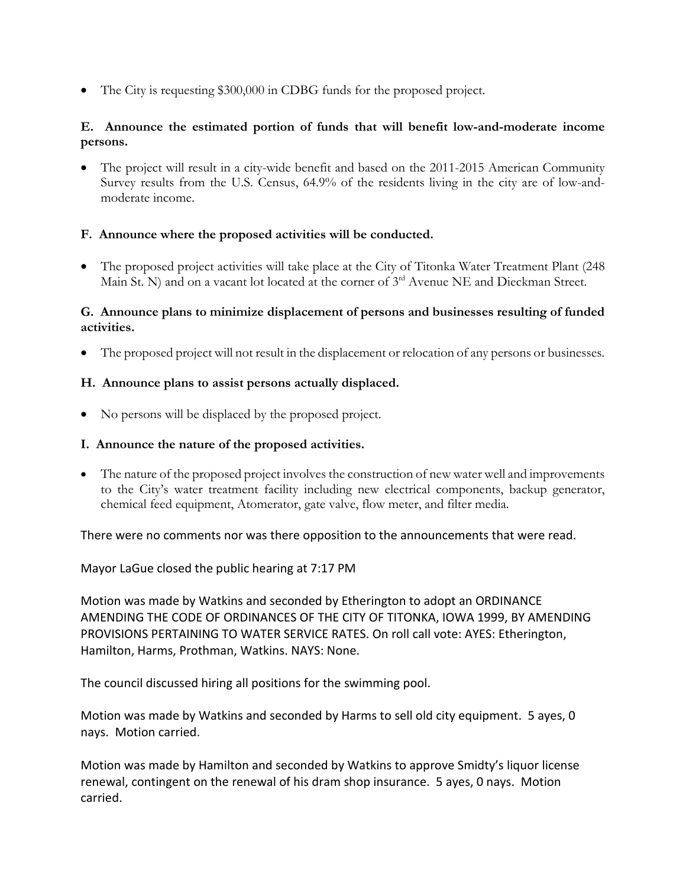• The City is requesting \$300,000 in CDBG funds for the proposed project.

### **E. Announce the estimated portion of funds that will benefit low-and-moderate income persons.**

• The project will result in a city-wide benefit and based on the 2011-2015 American Community Survey results from the U.S. Census, 64.9% of the residents living in the city are of low-andmoderate income.

#### **F. Announce where the proposed activities will be conducted.**

• The proposed project activities will take place at the City of Titonka Water Treatment Plant (248) Main St. N) and on a vacant lot located at the corner of 3<sup>rd</sup> Avenue NE and Dieckman Street.

#### **G. Announce plans to minimize displacement of persons and businesses resulting of funded activities.**

• The proposed project will not result in the displacement or relocation of any persons or businesses.

#### **H. Announce plans to assist persons actually displaced.**

• No persons will be displaced by the proposed project.

#### **I. Announce the nature of the proposed activities.**

• The nature of the proposed project involves the construction of new water well and improvements to the City's water treatment facility including new electrical components, backup generator, chemical feed equipment, Atomerator, gate valve, flow meter, and filter media.

There were no comments nor was there opposition to the announcements that were read.

Mayor LaGue closed the public hearing at 7:17 PM

Motion was made by Watkins and seconded by Etherington to adopt an ORDINANCE AMENDING THE CODE OF ORDINANCES OF THE CITY OF TITONKA, IOWA 1999, BY AMENDING PROVISIONS PERTAINING TO WATER SERVICE RATES. On roll call vote: AYES: Etherington, Hamilton, Harms, Prothman, Watkins. NAYS: None.

The council discussed hiring all positions for the swimming pool.

Motion was made by Watkins and seconded by Harms to sell old city equipment. 5 ayes, 0 nays. Motion carried.

Motion was made by Hamilton and seconded by Watkins to approve Smidty's liquor license renewal, contingent on the renewal of his dram shop insurance. 5 ayes, 0 nays. Motion carried.